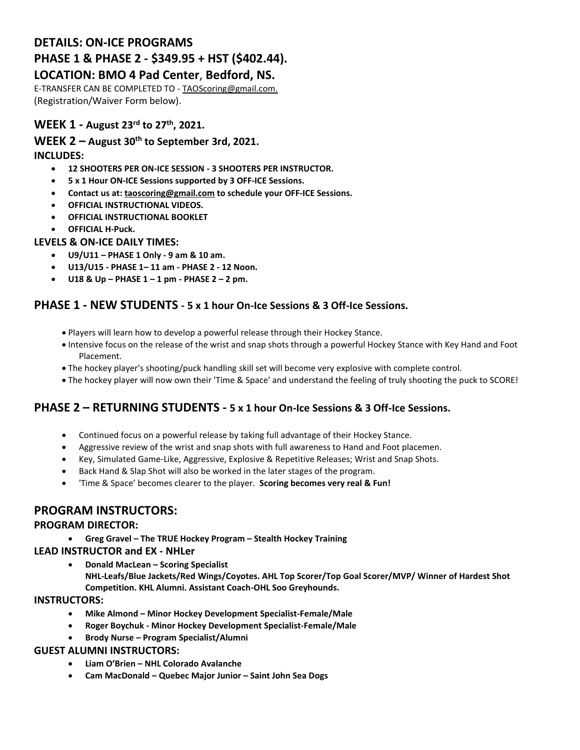# **DETAILS: ON-ICE PROGRAMS PHASE 1 & PHASE 2 - \$349.95 + HST (\$402.44).**

#### **LOCATION: BMO 4 Pad Center**, **Bedford, NS.**

E-TRANSFER CAN BE COMPLETED TO - [TAOScoring@gmail.com.](mailto:TAOScoring@gmail.com) (Registration/Waiver Form below).

## **WEEK 1 - August 23 rd to 27th , 2021.**

**WEEK 2 – August 30th to September 3rd, 2021. INCLUDES:**

- **12 SHOOTERS PER ON-ICE SESSION - 3 SHOOTERS PER INSTRUCTOR.**
- **5 x 1 Hour ON-ICE Sessions supported by 3 OFF-ICE Sessions.**
- **Contact us at: [taoscoring@gmail.com](mailto:taoscoring@gmail.com) to schedule your OFF-ICE Sessions.**
- **OFFICIAL INSTRUCTIONAL VIDEOS.**
- **OFFICIAL INSTRUCTIONAL BOOKLET**
- **OFFICIAL H-Puck.**

#### **LEVELS & ON-ICE DAILY TIMES:**

- **U9/U11 – PHASE 1 Only - 9 am & 10 am.**
- **U13/U15 - PHASE 1– 11 am - PHASE 2 - 12 Noon.**
- **U18 & Up – PHASE 1 – 1 pm - PHASE 2 – 2 pm.**

## **PHASE 1 - NEW STUDENTS - 5 x 1 hour On-Ice Sessions & 3 Off-Ice Sessions.**

- Players will learn how to develop a powerful release through their Hockey Stance.
- Intensive focus on the release of the wrist and snap shots through a powerful Hockey Stance with Key Hand and Foot Placement.
- The hockey player's shooting/puck handling skill set will become very explosive with complete control.
- The hockey player will now own their 'Time & Space' and understand the feeling of truly shooting the puck to SCORE!

## **PHASE 2 – RETURNING STUDENTS - 5 x 1 hour On-Ice Sessions & 3 Off-Ice Sessions.**

- Continued focus on a powerful release by taking full advantage of their Hockey Stance.
- Aggressive review of the wrist and snap shots with full awareness to Hand and Foot placemen.
- Key, Simulated Game-Like, Aggressive, Explosive & Repetitive Releases; Wrist and Snap Shots.
- Back Hand & Slap Shot will also be worked in the later stages of the program.
- 'Time & Space' becomes clearer to the player. **Scoring becomes very real & Fun!**

## **PROGRAM INSTRUCTORS:**

#### **PROGRAM DIRECTOR:**

**Greg Gravel – The TRUE Hockey Program – Stealth Hockey Training**

#### **LEAD INSTRUCTOR and EX - NHLer**

 **Donald MacLean – Scoring Specialist NHL-Leafs/Blue Jackets/Red Wings/Coyotes. AHL Top Scorer/Top Goal Scorer/MVP/ Winner of Hardest Shot Competition. KHL Alumni. Assistant Coach-OHL Soo Greyhounds.**

#### **INSTRUCTORS:**

- **Mike Almond – Minor Hockey Development Specialist-Female/Male**
- **Roger Boychuk - Minor Hockey Development Specialist-Female/Male**
- **Brody Nurse – Program Specialist/Alumni**

#### **GUEST ALUMNI INSTRUCTORS:**

- **Liam O'Brien – NHL Colorado Avalanche**
- **Cam MacDonald – Quebec Major Junior – Saint John Sea Dogs**